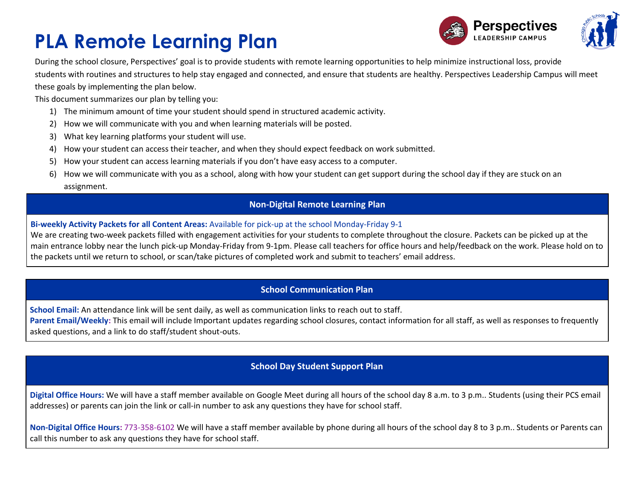



During the school closure, Perspectives' goal is to provide students with remote learning opportunities to help minimize instructional loss, provide students with routines and structures to help stay engaged and connected, and ensure that students are healthy. Perspectives Leadership Campus will meet these goals by implementing the plan below.

This document summarizes our plan by telling you:

- 1) The minimum amount of time your student should spend in structured academic activity.
- 2) How we will communicate with you and when learning materials will be posted.
- 3) What key learning platforms your student will use.
- 4) How your student can access their teacher, and when they should expect feedback on work submitted.
- 5) How your student can access learning materials if you don't have easy access to a computer.
- 6) How we will communicate with you as a school, along with how your student can get support during the school day if they are stuck on an assignment.

### **Non-Digital Remote Learning Plan**

#### **Bi-weekly Activity Packets for all Content Areas:** Available for pick-up at the school Monday-Friday 9-1

We are creating two-week packets filled with engagement activities for your students to complete throughout the closure. Packets can be picked up at the main entrance lobby near the lunch pick-up Monday-Friday from 9-1pm. Please call teachers for office hours and help/feedback on the work. Please hold on to the packets until we return to school, or scan/take pictures of completed work and submit to teachers' email address.

### **School Communication Plan**

**School Email:** An attendance link will be sent daily, as well as communication links to reach out to staff.

Parent Email/Weekly: This email will include Important updates regarding school closures, contact information for all staff, as well as responses to frequently asked questions, and a link to do staff/student shout-outs.

### **School Day Student Support Plan**

**Digital Office Hours:** We will have a staff member available on Google Meet during all hours of the school day 8 a.m. to 3 p.m.. Students (using their PCS email addresses) or parents can join the link or call-in number to ask any questions they have for school staff.

**Non-Digital Office Hours:** 773-358-6102 We will have a staff member available by phone during all hours of the school day 8 to 3 p.m.. Students or Parents can call this number to ask any questions they have for school staff.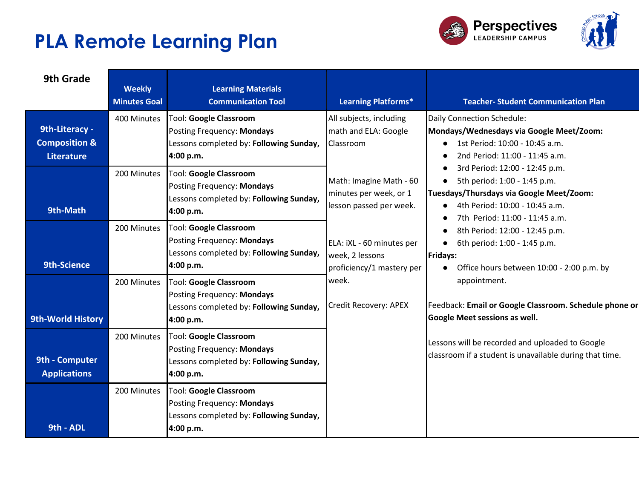



| 9th Grade                                                       | <b>Weekly</b><br><b>Minutes Goal</b> | <b>Learning Materials</b><br><b>Communication Tool</b>                                                              | <b>Learning Platforms*</b>                                                                                  | <b>Teacher- Student Communication Plan</b>                                                                                                                                                                                                                                                                                                                                                                          |
|-----------------------------------------------------------------|--------------------------------------|---------------------------------------------------------------------------------------------------------------------|-------------------------------------------------------------------------------------------------------------|---------------------------------------------------------------------------------------------------------------------------------------------------------------------------------------------------------------------------------------------------------------------------------------------------------------------------------------------------------------------------------------------------------------------|
| 9th-Literacy -<br><b>Composition &amp;</b><br><b>Literature</b> | 400 Minutes                          | <b>Tool: Google Classroom</b><br>Posting Frequency: Mondays<br>Lessons completed by: Following Sunday,<br>4:00 p.m. | All subjects, including<br>math and ELA: Google<br>Classroom                                                | Daily Connection Schedule:<br>Mondays/Wednesdays via Google Meet/Zoom:<br>1st Period: 10:00 - 10:45 a.m.<br>2nd Period: 11:00 - 11:45 a.m.<br>3rd Period: 12:00 - 12:45 p.m.                                                                                                                                                                                                                                        |
| 9th-Math                                                        | 200 Minutes                          | Tool: Google Classroom<br>Posting Frequency: Mondays<br>Lessons completed by: Following Sunday,<br>4:00 p.m.        | Math: Imagine Math - 60<br>minutes per week, or 1<br>lesson passed per week.                                | 5th period: 1:00 - 1:45 p.m.<br>$\bullet$<br>Tuesdays/Thursdays via Google Meet/Zoom:<br>4th Period: 10:00 - 10:45 a.m.<br>7th Period: 11:00 - 11:45 a.m.<br>8th Period: 12:00 - 12:45 p.m.<br>$\bullet$<br>6th period: 1:00 - 1:45 p.m.<br><b>Fridays:</b><br>Office hours between 10:00 - 2:00 p.m. by<br>appointment.<br>Feedback: Email or Google Classroom. Schedule phone or<br>Google Meet sessions as well. |
| 9th-Science                                                     | 200 Minutes                          | <b>Tool: Google Classroom</b><br>Posting Frequency: Mondays<br>Lessons completed by: Following Sunday,<br>4:00 p.m. | ELA: iXL - 60 minutes per<br>week, 2 lessons<br>proficiency/1 mastery per<br>week.<br>Credit Recovery: APEX |                                                                                                                                                                                                                                                                                                                                                                                                                     |
| <b>9th-World History</b>                                        | 200 Minutes                          | Tool: Google Classroom<br>Posting Frequency: Mondays<br>Lessons completed by: Following Sunday,<br>4:00 p.m.        |                                                                                                             |                                                                                                                                                                                                                                                                                                                                                                                                                     |
| 9th - Computer<br><b>Applications</b>                           | 200 Minutes                          | <b>Tool: Google Classroom</b><br>Posting Frequency: Mondays<br>Lessons completed by: Following Sunday,<br>4:00 p.m. |                                                                                                             | Lessons will be recorded and uploaded to Google<br>classroom if a student is unavailable during that time.                                                                                                                                                                                                                                                                                                          |
| 9th - ADL                                                       | 200 Minutes                          | <b>Tool: Google Classroom</b><br>Posting Frequency: Mondays<br>Lessons completed by: Following Sunday,<br>4:00 p.m. |                                                                                                             |                                                                                                                                                                                                                                                                                                                                                                                                                     |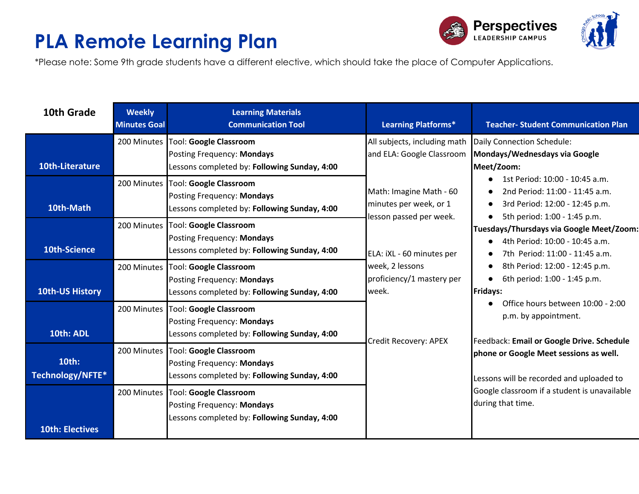



\*Please note: Some 9th grade students have a different elective, which should take the place of Computer Applications.

| 10th Grade                | <b>Weekly</b><br><b>Minutes Goal</b> | <b>Learning Materials</b><br><b>Communication Tool</b>                                                           | <b>Learning Platforms*</b>                                                                                                                                                                  | <b>Teacher-Student Communication Plan</b>                                                                                                                                                                                                                                                                                                                                                                                                                                                                                                                                                                                 |
|---------------------------|--------------------------------------|------------------------------------------------------------------------------------------------------------------|---------------------------------------------------------------------------------------------------------------------------------------------------------------------------------------------|---------------------------------------------------------------------------------------------------------------------------------------------------------------------------------------------------------------------------------------------------------------------------------------------------------------------------------------------------------------------------------------------------------------------------------------------------------------------------------------------------------------------------------------------------------------------------------------------------------------------------|
| 10th-Literature           |                                      | 200 Minutes Tool: Google Classroom<br>Posting Frequency: Mondays<br>Lessons completed by: Following Sunday, 4:00 | All subjects, including math<br>and ELA: Google Classroom                                                                                                                                   | Daily Connection Schedule:<br>Mondays/Wednesdays via Google<br>Meet/Zoom:                                                                                                                                                                                                                                                                                                                                                                                                                                                                                                                                                 |
| 10th-Math                 | 200 Minutes                          | <b>Tool: Google Classroom</b><br>Posting Frequency: Mondays<br>Lessons completed by: Following Sunday, 4:00      | Math: Imagine Math - 60<br>minutes per week, or 1<br>lesson passed per week.<br>ELA: iXL - 60 minutes per<br>week, 2 lessons<br>proficiency/1 mastery per<br>week.<br>Credit Recovery: APEX | 1st Period: 10:00 - 10:45 a.m.<br>2nd Period: 11:00 - 11:45 a.m.<br>3rd Period: 12:00 - 12:45 p.m.<br>$\bullet$<br>5th period: 1:00 - 1:45 p.m.<br>Tuesdays/Thursdays via Google Meet/Zoom:<br>4th Period: 10:00 - 10:45 a.m.<br>7th Period: 11:00 - 11:45 a.m.<br>8th Period: 12:00 - 12:45 p.m.<br>6th period: 1:00 - 1:45 p.m.<br><b>Fridays:</b><br>Office hours between 10:00 - 2:00<br>p.m. by appointment.<br>Feedback: Email or Google Drive. Schedule<br>phone or Google Meet sessions as well.<br>Lessons will be recorded and uploaded to<br>Google classroom if a student is unavailable<br>during that time. |
| 10th-Science              |                                      | 200 Minutes Tool: Google Classroom<br>Posting Frequency: Mondays<br>Lessons completed by: Following Sunday, 4:00 |                                                                                                                                                                                             |                                                                                                                                                                                                                                                                                                                                                                                                                                                                                                                                                                                                                           |
| <b>10th-US History</b>    |                                      | 200 Minutes Tool: Google Classroom<br>Posting Frequency: Mondays<br>Lessons completed by: Following Sunday, 4:00 |                                                                                                                                                                                             |                                                                                                                                                                                                                                                                                                                                                                                                                                                                                                                                                                                                                           |
| 10th: ADL                 |                                      | 200 Minutes Tool: Google Classroom<br>Posting Frequency: Mondays<br>Lessons completed by: Following Sunday, 4:00 |                                                                                                                                                                                             |                                                                                                                                                                                                                                                                                                                                                                                                                                                                                                                                                                                                                           |
| 10th:<br>Technology/NFTE* | 200 Minutes                          | Tool: Google Classroom<br>Posting Frequency: Mondays<br>Lessons completed by: Following Sunday, 4:00             |                                                                                                                                                                                             |                                                                                                                                                                                                                                                                                                                                                                                                                                                                                                                                                                                                                           |
| <b>10th: Electives</b>    | 200 Minutes                          | <b>Tool: Google Classroom</b><br>Posting Frequency: Mondays<br>Lessons completed by: Following Sunday, 4:00      |                                                                                                                                                                                             |                                                                                                                                                                                                                                                                                                                                                                                                                                                                                                                                                                                                                           |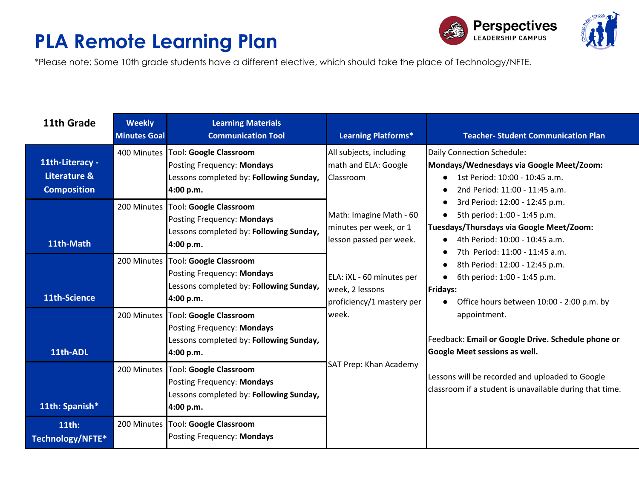



\*Please note: Some 10th grade students have a different elective, which should take the place of Technology/NFTE.

| 11th Grade                                            | <b>Weekly</b><br><b>Minutes Goal</b> | <b>Learning Materials</b><br><b>Communication Tool</b>                                                                     | <b>Learning Platforms*</b>                                                                                   | <b>Teacher-Student Communication Plan</b>                                                                                                                                                   |
|-------------------------------------------------------|--------------------------------------|----------------------------------------------------------------------------------------------------------------------------|--------------------------------------------------------------------------------------------------------------|---------------------------------------------------------------------------------------------------------------------------------------------------------------------------------------------|
| 11th-Literacy -<br>Literature &<br><b>Composition</b> |                                      | 400 Minutes   Tool: Google Classroom<br>Posting Frequency: Mondays<br>Lessons completed by: Following Sunday,<br>4:00 p.m. | All subjects, including<br>math and ELA: Google<br>Classroom                                                 | Daily Connection Schedule:<br>Mondays/Wednesdays via Google Meet/Zoom:<br>1st Period: 10:00 - 10:45 a.m.<br>2nd Period: 11:00 - 11:45 a.m.                                                  |
| 11th-Math                                             |                                      | 200 Minutes Tool: Google Classroom<br>Posting Frequency: Mondays<br>Lessons completed by: Following Sunday,<br>4:00 p.m.   | Math: Imagine Math - 60<br>minutes per week, or 1<br>lesson passed per week.                                 | 3rd Period: 12:00 - 12:45 p.m.<br>5th period: 1:00 - 1:45 p.m.<br>$\bullet$<br>Tuesdays/Thursdays via Google Meet/Zoom:<br>4th Period: 10:00 - 10:45 a.m.<br>7th Period: 11:00 - 11:45 a.m. |
| 11th-Science                                          |                                      | 200 Minutes Tool: Google Classroom<br>Posting Frequency: Mondays<br>Lessons completed by: Following Sunday,<br>4:00 p.m.   | ELA: iXL - 60 minutes per<br>week, 2 lessons<br>proficiency/1 mastery per<br>week.<br>SAT Prep: Khan Academy | 8th Period: 12:00 - 12:45 p.m.<br>6th period: 1:00 - 1:45 p.m.<br>$\bullet$<br><b>Fridays:</b><br>Office hours between 10:00 - 2:00 p.m. by<br>$\bullet$                                    |
| 11th-ADL                                              |                                      | 200 Minutes   Tool: Google Classroom<br>Posting Frequency: Mondays<br>Lessons completed by: Following Sunday,<br>4:00 p.m. |                                                                                                              | appointment.<br>Feedback: Email or Google Drive. Schedule phone or<br><b>Google Meet sessions as well.</b>                                                                                  |
| 11th: Spanish*                                        |                                      | 200 Minutes Tool: Google Classroom<br>Posting Frequency: Mondays<br>Lessons completed by: Following Sunday,<br>4:00 p.m.   |                                                                                                              | Lessons will be recorded and uploaded to Google<br>classroom if a student is unavailable during that time.                                                                                  |
| 11th:<br>Technology/NFTE*                             |                                      | 200 Minutes Tool: Google Classroom<br>Posting Frequency: Mondays                                                           |                                                                                                              |                                                                                                                                                                                             |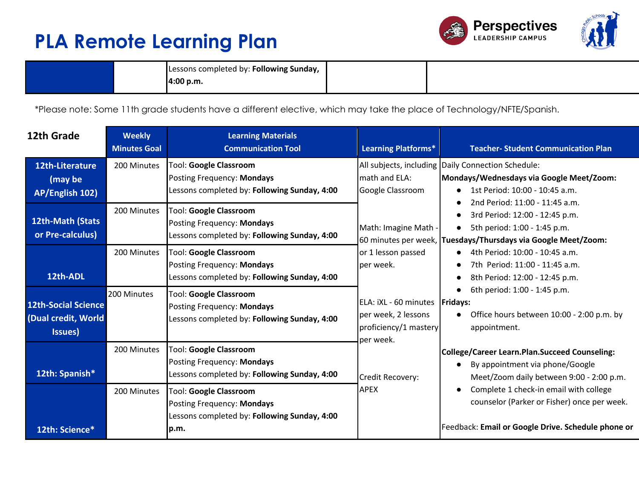



|  | Lessons completed by: Following Sunday, |  |
|--|-----------------------------------------|--|
|  | 4:00 p.m.                               |  |

\*Please note: Some 11th grade students have a different elective, which may take the place of Technology/NFTE/Spanish.

| 12th Grade                                                   | <b>Weekly</b><br><b>Minutes Goal</b> | <b>Learning Materials</b><br><b>Communication Tool</b>                                                               | <b>Learning Platforms*</b>                                                                    | <b>Teacher- Student Communication Plan</b>                                                                                                                        |
|--------------------------------------------------------------|--------------------------------------|----------------------------------------------------------------------------------------------------------------------|-----------------------------------------------------------------------------------------------|-------------------------------------------------------------------------------------------------------------------------------------------------------------------|
| 12th-Literature<br>(may be<br>AP/English 102)                | 200 Minutes                          | <b>Tool: Google Classroom</b><br>Posting Frequency: Mondays<br>Lessons completed by: Following Sunday, 4:00          | math and ELA:<br>Google Classroom                                                             | All subjects, including Daily Connection Schedule:<br>Mondays/Wednesdays via Google Meet/Zoom:<br>1st Period: 10:00 - 10:45 a.m.                                  |
| 12th-Math (Stats<br>or Pre-calculus)                         | 200 Minutes                          | <b>Tool: Google Classroom</b><br>Posting Frequency: Mondays<br>Lessons completed by: Following Sunday, 4:00          | Math: Imagine Math -                                                                          | 2nd Period: 11:00 - 11:45 a.m.<br>3rd Period: 12:00 - 12:45 p.m.<br>5th period: 1:00 - 1:45 p.m.<br>60 minutes per week, Tuesdays/Thursdays via Google Meet/Zoom: |
| 12th-ADL                                                     | 200 Minutes                          | <b>Tool: Google Classroom</b><br>Posting Frequency: Mondays<br>Lessons completed by: Following Sunday, 4:00          | or 1 lesson passed<br>per week.                                                               | 4th Period: 10:00 - 10:45 a.m.<br>7th Period: 11:00 - 11:45 a.m.<br>8th Period: 12:00 - 12:45 p.m.                                                                |
| <b>12th-Social Science</b><br>(Dual credit, World<br>Issues) | 200 Minutes                          | Tool: Google Classroom<br>Posting Frequency: Mondays<br>Lessons completed by: Following Sunday, 4:00                 | ELA: iXL - 60 minutes   Fridays:<br>per week, 2 lessons<br>proficiency/1 mastery<br>per week. | 6th period: 1:00 - 1:45 p.m.<br>Office hours between 10:00 - 2:00 p.m. by<br>appointment.                                                                         |
| 12th: Spanish*                                               | 200 Minutes                          | <b>Tool: Google Classroom</b><br>Posting Frequency: Mondays<br>Lessons completed by: Following Sunday, 4:00          | Credit Recovery:                                                                              | College/Career Learn.Plan.Succeed Counseling:<br>By appointment via phone/Google<br>Meet/Zoom daily between 9:00 - 2:00 p.m.                                      |
| 12th: Science*                                               | 200 Minutes                          | <b>Tool: Google Classroom</b><br>Posting Frequency: Mondays<br>Lessons completed by: Following Sunday, 4:00<br>Ip.m. | <b>APEX</b>                                                                                   | Complete 1 check-in email with college<br>counselor (Parker or Fisher) once per week.<br>Feedback: Email or Google Drive. Schedule phone or                       |